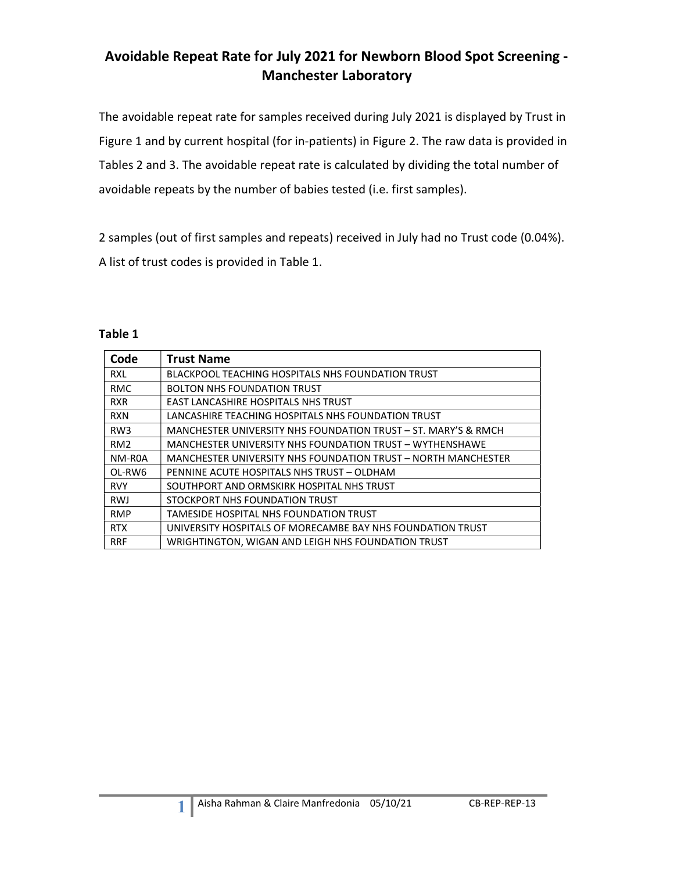### Avoidable Repeat Rate for July 2021 for Newborn Blood Spot Screening - Manchester Laboratory

The avoidable repeat rate for samples received during July 2021 is displayed by Trust in Figure 1 and by current hospital (for in-patients) in Figure 2. The raw data is provided in Tables 2 and 3. The avoidable repeat rate is calculated by dividing the total number of avoidable repeats by the number of babies tested (i.e. first samples).

2 samples (out of first samples and repeats) received in July had no Trust code (0.04%). A list of trust codes is provided in Table 1.

#### Table 1

| Code            | <b>Trust Name</b>                                              |
|-----------------|----------------------------------------------------------------|
| RXL             | <b>BLACKPOOL TEACHING HOSPITALS NHS FOUNDATION TRUST</b>       |
| <b>RMC</b>      | <b>BOLTON NHS FOUNDATION TRUST</b>                             |
| <b>RXR</b>      | <b>EAST LANCASHIRE HOSPITALS NHS TRUST</b>                     |
| <b>RXN</b>      | LANCASHIRE TEACHING HOSPITALS NHS FOUNDATION TRUST             |
| RW <sub>3</sub> | MANCHESTER UNIVERSITY NHS FOUNDATION TRUST – ST. MARY'S & RMCH |
| RM <sub>2</sub> | MANCHESTER UNIVERSITY NHS FOUNDATION TRUST - WYTHENSHAWE       |
| NM-R0A          | MANCHESTER UNIVERSITY NHS FOUNDATION TRUST - NORTH MANCHESTER  |
| OL-RW6          | PENNINE ACUTE HOSPITALS NHS TRUST - OLDHAM                     |
| <b>RVY</b>      | SOUTHPORT AND ORMSKIRK HOSPITAL NHS TRUST                      |
| <b>RWJ</b>      | STOCKPORT NHS FOUNDATION TRUST                                 |
| <b>RMP</b>      | TAMESIDE HOSPITAL NHS FOUNDATION TRUST                         |
| <b>RTX</b>      | UNIVERSITY HOSPITALS OF MORECAMBE BAY NHS FOUNDATION TRUST     |
| <b>RRF</b>      | WRIGHTINGTON, WIGAN AND LEIGH NHS FOUNDATION TRUST             |

1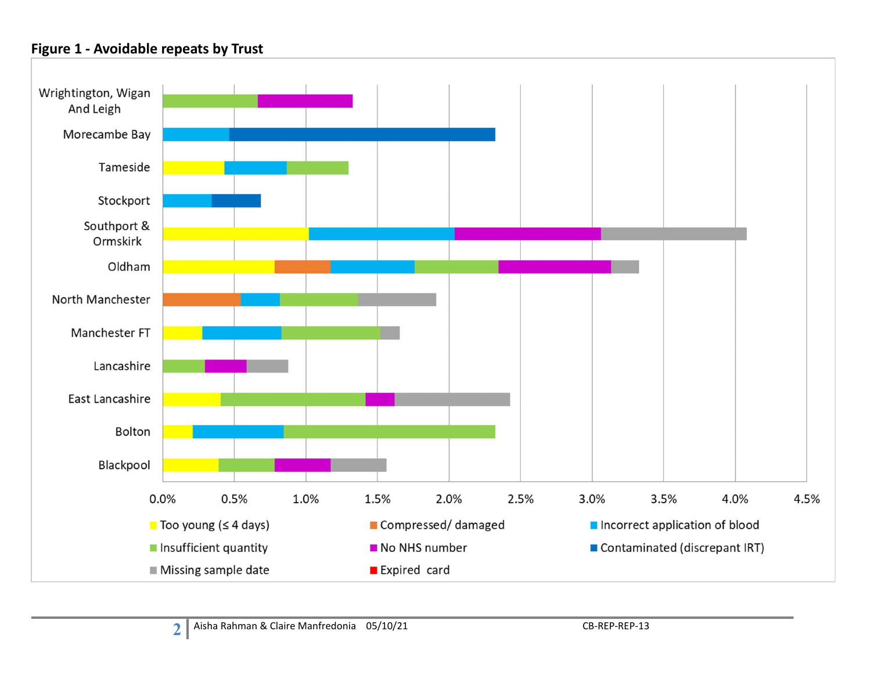### Figure 1 - Avoidable repeats by Trust

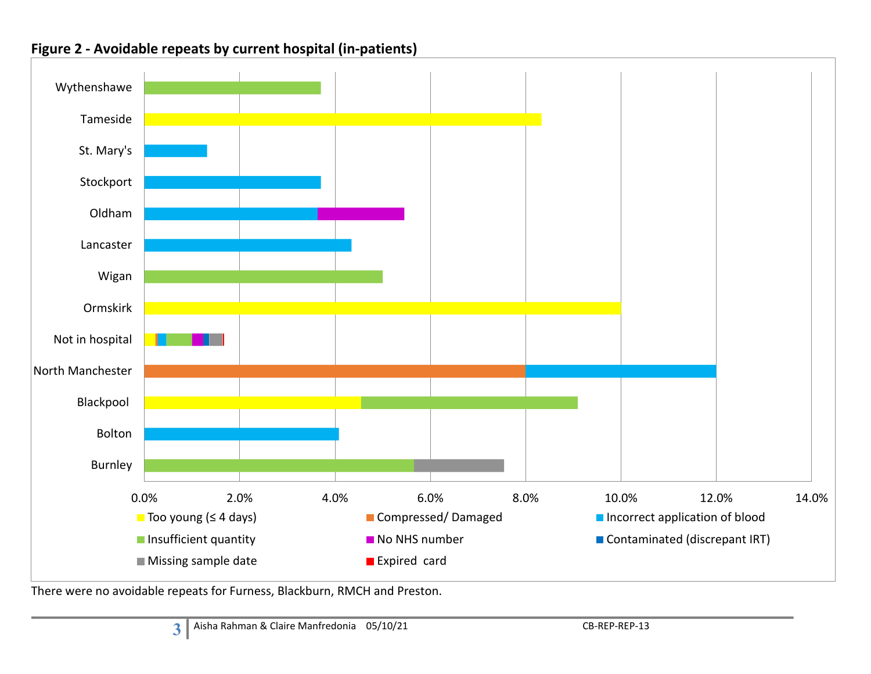

#### Figure 2 - Avoidable repeats by current hospital (in-patients)

There were no avoidable repeats for Furness, Blackburn, RMCH and Preston.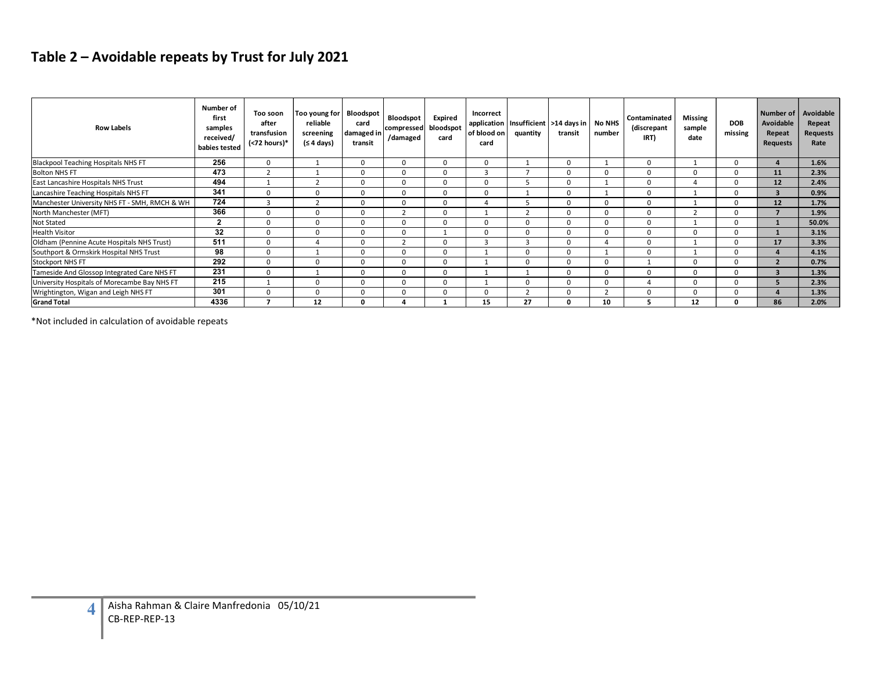## Table 2 – Avoidable repeats by Trust for July 2021

| <b>Row Labels</b>                                          | Number of<br>first<br>samples<br>received/<br>babies tested | Too soon<br>after<br>transfusion<br>(<72 hours)* | Too young for<br>reliable<br>screening<br>(≤ 4 days) | Bloodspot<br>card<br>damaged in<br>transit | Bloodspot<br>compressed<br>/damaged | Expired<br>bloodspot<br>card | Incorrect<br>application<br>of blood on<br>card | quantity                | Insufficient   >14 days in   No NHS<br>transit | number         | Contaminated<br>(discrepant<br>IRT) | Missing<br>sample<br>date | DOB<br>missing | Number of<br>Avoidable<br>Repeat<br><b>Requests</b> | Avoidable<br>Repeat<br><b>Requests</b><br>Rate |
|------------------------------------------------------------|-------------------------------------------------------------|--------------------------------------------------|------------------------------------------------------|--------------------------------------------|-------------------------------------|------------------------------|-------------------------------------------------|-------------------------|------------------------------------------------|----------------|-------------------------------------|---------------------------|----------------|-----------------------------------------------------|------------------------------------------------|
| Blackpool Teaching Hospitals NHS FT                        | 256                                                         | $\overline{0}$                                   | $\overline{1}$                                       | $\mathbf{0}$                               | $\overline{0}$                      | $\overline{0}$               | $\mathbf 0$                                     | 1                       | $\overline{0}$                                 | 1              | $\mathbf{0}$                        | $\overline{1}$            | $\overline{0}$ | $\overline{4}$                                      | 1.6%                                           |
| <b>Bolton NHS FT</b>                                       | 473                                                         | $\overline{2}$                                   | <sup>1</sup>                                         | $\Omega$                                   | $\overline{0}$                      | $\mathbf 0$                  | $\overline{3}$                                  | $\overline{7}$          | $\mathbf 0$                                    | $\mathbf{0}$   | $\mathbf 0$                         | $\Omega$                  | $\mathbf 0$    | 11                                                  | 2.3%                                           |
| East Lancashire Hospitals NHS Trust                        | 494                                                         | 1                                                | 2                                                    | $\mathbf{0}$                               | $\mathbf{0}$                        | $\mathbf 0$                  | $\mathbf 0$                                     | 5                       | $\mathbf 0$                                    | 1              | $\mathbf 0$                         | $\overline{4}$            | $\mathbf 0$    | 12                                                  | 2.4%                                           |
| Lancashire Teaching Hospitals NHS FT                       | 341                                                         | $\mathbf{0}$                                     | $\mathbf{0}$                                         | $\mathbf{0}$                               | $\overline{0}$                      | $\mathbf 0$                  | $\mathbf{0}$                                    | 1                       | $\mathbf{0}$                                   | 1              | $\mathbf{0}$                        | 1                         | $\mathbf{0}$   | 3                                                   | $0.9\%$                                        |
| Manchester University NHS FT - SMH, RMCH & WH              | 724                                                         | $\overline{\mathbf{3}}$                          | $\overline{2}$                                       | $\mathbf{0}$                               | $\overline{0}$                      | $\overline{0}$               | $\overline{4}$                                  | 5                       | $\mathbf 0$                                    | $\overline{0}$ | $\mathbf{0}$                        | 1                         | $\mathbf 0$    | 12                                                  | 1.7%                                           |
| North Manchester (MFT)                                     | 366                                                         | $\Omega$                                         | $\Omega$                                             | $\Omega$                                   | $\overline{2}$                      | $\overline{0}$               | $\overline{1}$                                  | $\overline{2}$          | $\mathbf{0}$                                   | $\Omega$       | $\Omega$                            | $\overline{2}$            | $\mathbf{0}$   | $\overline{7}$                                      | 1.9%                                           |
|                                                            | $\overline{2}$                                              |                                                  |                                                      |                                            |                                     |                              |                                                 |                         |                                                |                |                                     |                           |                |                                                     |                                                |
| Not Stated<br><b>Health Visitor</b>                        | 32                                                          | $\mathbf{0}$<br>$\Omega$                         | $\mathbf{0}$                                         | $\mathbf{0}$                               | $\overline{0}$                      | $\overline{0}$               | $\mathbf 0$                                     | $\overline{0}$          | $\mathbf 0$                                    | $\overline{0}$ | $\mathbf{0}$                        | 1                         | $\mathbf 0$    | $\mathbf{1}$                                        | 50.0%                                          |
| Oldham (Pennine Acute Hospitals NHS Trust)                 | 511                                                         |                                                  | $\mathbf{0}$                                         | $\mathbf{0}$                               | $\overline{0}$                      | 1                            | $\mathbf 0$                                     | $\overline{0}$          | $\overline{0}$                                 | $\overline{0}$ | $\mathbf 0$                         | $\mathbf{0}$              | $\mathbf{0}$   | $\mathbf{1}$                                        | 3.1%                                           |
|                                                            | 98                                                          | $\Omega$                                         | $\overline{4}$                                       | $\Omega$                                   | $\overline{2}$                      | $\overline{0}$               | $\overline{\mathbf{3}}$                         | $\overline{\mathbf{3}}$ | $\Omega$                                       | $\overline{4}$ | $\mathbf 0$                         | $\mathbf{1}$              | $\mathbf 0$    | 17                                                  | 3.3%                                           |
| Southport & Ormskirk Hospital NHS Trust                    |                                                             | $\Omega$                                         | $\overline{1}$                                       | $\mathbf{0}$                               | $\overline{0}$                      | $\overline{0}$               | 1                                               | $\overline{0}$          | $\mathbf{0}$                                   | 1              | $\mathbf 0$                         | 1                         | $\mathbf{0}$   | $\overline{4}$                                      | 4.1%                                           |
| <b>Stockport NHS FT</b>                                    | 292                                                         | $\overline{0}$                                   | $\overline{0}$                                       | $\mathbf{0}$                               | $\overline{0}$                      | $\overline{0}$               | 1                                               | $\overline{0}$          | $\mathbf{0}$                                   | $\overline{0}$ | $\mathbf{1}$                        | $\mathbf{0}$              | $\overline{0}$ | $2^{\circ}$                                         | 0.7%                                           |
| Tameside And Glossop Integrated Care NHS FT                | 231                                                         | $\mathbf{0}$                                     | 1                                                    | $\mathbf{0}$                               | $\overline{0}$                      | $\mathbf 0$                  | 1                                               | 1                       | $\mathbf{0}$                                   | $\mathbf{0}$   | $\mathbf 0$                         | $\mathbf{0}$              | $\mathbf{0}$   | $\overline{\mathbf{3}}$                             | 1.3%                                           |
|                                                            | 215                                                         | 1                                                | $\overline{0}$                                       | $\mathbf{0}$                               | $\overline{0}$                      | $\overline{0}$               | $\mathbf{1}$                                    | $\overline{0}$          | $\overline{0}$                                 | $\overline{0}$ | $\overline{4}$                      | $\mathbf{0}$              | $\overline{0}$ | 5 <sup>1</sup>                                      | 2.3%                                           |
| University Hospitals of Morecambe Bay NHS FT               | 301                                                         | $\mathbf{0}$                                     | $\overline{0}$                                       | $\mathbf{0}$                               | $\overline{0}$                      | $\overline{0}$               | $\mathbf 0$<br>15                               | 2                       | $\mathbf{0}$                                   | 2              | $\overline{0}$                      | $\mathbf{0}$              | $\mathbf{0}$   | $\overline{4}$                                      | 1.3%                                           |
| Wrightington, Wigan and Leigh NHS FT<br><b>Grand Total</b> | 4336                                                        | $\overline{7}$                                   | 12                                                   |                                            | $\overline{4}$                      | $\mathbf{1}$                 |                                                 | 27                      | $\mathbf 0$                                    | 10             | 5 <sup>1</sup>                      | 12                        | $\mathbf{0}$   | 86                                                  | 2.0%                                           |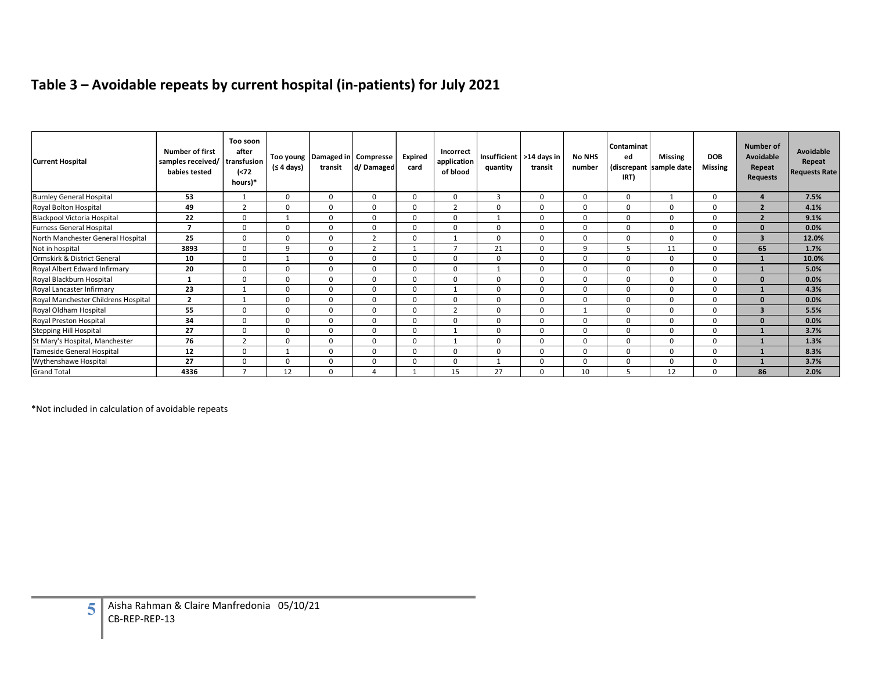# Table 3 – Avoidable repeats by current hospital (in-patients) for July 2021

| <b>Current Hospital</b>             | <b>Number of first</b><br>samples received/<br>babies tested | Too soon<br>after<br>transfusion<br>$\left( < 72 \right)$ | Too young<br>(≤ 4 days) | Damaged in<br>transit | Compresse<br>d/Damaged  | <b>Expired</b><br>card | Table 3 - Avoidable repeats by current hospital (in-patients) for July 2021<br>Incorrect<br>application<br>of blood | Insufficient<br>quantity | >14 days in<br>transit | <b>No NHS</b><br>number | Contaminat<br>ed<br>(discrepant | <b>Missing</b><br>sample date | <b>DOB</b><br><b>Missing</b> | Number of<br>Avoidable<br>Repeat | Avoidable<br>Repeat<br>Requests Rate |
|-------------------------------------|--------------------------------------------------------------|-----------------------------------------------------------|-------------------------|-----------------------|-------------------------|------------------------|---------------------------------------------------------------------------------------------------------------------|--------------------------|------------------------|-------------------------|---------------------------------|-------------------------------|------------------------------|----------------------------------|--------------------------------------|
|                                     |                                                              | hours)*                                                   |                         |                       |                         |                        |                                                                                                                     |                          |                        |                         | IRT)                            |                               |                              | <b>Requests</b>                  |                                      |
| <b>Burnley General Hospital</b>     | 53                                                           | 1                                                         | $\mathbf{0}$            | $\mathbf 0$           | $\mathbf 0$             | $\mathbf 0$            | $\mathbf{0}$                                                                                                        | $\overline{\mathbf{3}}$  | $\mathbf{0}$           | $\mathbf{0}$            | $\mathbf 0$                     | 1                             | $\mathbf 0$                  | $\overline{4}$                   | 7.5%                                 |
| Royal Bolton Hospital               | 49                                                           | $\overline{2}$                                            | $\Omega$                | $\Omega$              | $\overline{0}$          | $\mathbf{0}$           | $\overline{2}$                                                                                                      | $\mathbf 0$              | $\Omega$               | $\mathbf{0}$            | $\overline{0}$                  | $\mathbf{0}$                  | $\mathbf 0$                  | $\overline{2}$                   | 4.1%                                 |
| Blackpool Victoria Hospital         | 22                                                           | $\mathbf{0}$                                              | 1                       | $\mathbf 0$           | $\overline{\mathbf{0}}$ | $\mathbf 0$            | $\mathbf{0}$                                                                                                        | 1                        | $\overline{0}$         | $\mathbf{0}$            | $\overline{0}$                  | $\mathbf{0}$                  | $\mathbf{0}$                 | $\overline{2}$                   | 9.1%                                 |
| Furness General Hospital            | $\overline{7}$                                               | $\mathbf 0$                                               | $\mathbf 0$             | $\mathbf 0$           | $\mathbf 0$             | $\mathbf 0$            | $\mathbf 0$                                                                                                         | $\mathbf 0$              | $\mathbf 0$            | $\mathbf 0$             | $\mathbf 0$                     | $\mathbf 0$                   | $\mathbf 0$                  | $\mathbf{0}$                     | 0.0%                                 |
| North Manchester General Hospital   | 25                                                           | $\mathbf 0$                                               | $\mathbf{0}$            | $\mathbf 0$           | $\overline{2}$          | $\mathbf 0$            | 1                                                                                                                   | $\mathbf 0$              | $\mathbf 0$            | $\mathbf 0$             | $\mathbf 0$                     | $\mathbf{0}$                  | $\mathbf 0$                  | $\overline{\mathbf{3}}$          | 12.0%                                |
| Not in hospital                     | 3893                                                         | $\mathbf 0$                                               | 9                       | $\mathbf 0$           | $\overline{2}$          | 1                      | $7\overline{ }$                                                                                                     | 21                       | $\mathbf 0$            | 9                       | 5                               | 11                            | $\mathbf 0$                  | 65                               | 1.7%                                 |
| Ormskirk & District General         | 10                                                           | $\mathbf 0$                                               | 1                       | $\mathbf 0$           | $\mathbf 0$             | $\mathbf 0$            | $\mathbf{0}$                                                                                                        | $\mathbf 0$              | $\mathbf 0$            | $\mathbf 0$             | $\mathbf 0$                     | $\mathbf 0$                   | $\mathbf 0$                  | $\mathbf{1}$                     | 10.0%                                |
| Royal Albert Edward Infirmary       | 20                                                           | $\mathbf 0$                                               | $\mathbf{0}$            | $\mathbf 0$           | $\mathbf 0$             | $\mathbf 0$            | $\mathbf{0}$                                                                                                        | 1                        | $\mathbf 0$            | $\mathbf{0}$            | $\mathbf 0$                     | $\mathbf{0}$                  | $\mathbf 0$                  | $\mathbf{1}$                     | 5.0%                                 |
| Royal Blackburn Hospital            | $\mathbf{1}$                                                 | $\mathbf{0}$                                              | $\mathbf{0}$            | $\mathbf 0$           | $\overline{0}$          | $\mathbf 0$            | $\mathbf{0}$                                                                                                        | $\mathbf 0$              | $\mathbf 0$            | $\mathbf{0}$            | $\mathbf{0}$                    | $\mathbf{0}$                  | $\mathbf 0$                  | $\mathbf{0}$                     | 0.0%                                 |
| Royal Lancaster Infirmary           | 23                                                           | 1                                                         | $\Omega$                | $\mathbf 0$           | $\mathbf 0$             | $\Omega$               | 1                                                                                                                   | $\mathbf 0$              | $\Omega$               | $\mathbf{0}$            | $\overline{0}$                  | $\mathbf{0}$                  | $\mathbf 0$                  | $\mathbf{1}$                     | 4.3%                                 |
| Royal Manchester Childrens Hospital | $\overline{2}$                                               | 1                                                         | $\Omega$                | $\mathbf 0$           | $\overline{0}$          | $\mathbf{0}$           | $\mathbf{0}$                                                                                                        | $\mathbf 0$              | $\Omega$               | $\mathbf{0}$            | $\overline{0}$                  | $\mathbf{0}$                  | $\mathbf{0}$                 | $\mathbf{0}$                     | 0.0%                                 |
| Royal Oldham Hospital               | 55                                                           | $\mathbf{0}$                                              | $\mathbf{0}$            | $\mathbf 0$           | $\mathbf 0$             | $\mathbf 0$            | $\overline{2}$                                                                                                      | $\mathbf{0}$             | $\mathbf 0$            | 1                       | $\mathbf 0$                     | $\overline{0}$                | $\mathbf 0$                  | $\overline{\mathbf{3}}$          | 5.5%                                 |
| Royal Preston Hospital              | 34                                                           | $\mathbf 0$                                               | $\mathbf 0$             | $\mathbf 0$           | $\mathbf 0$             | $\mathbf 0$            | $\mathbf{0}$                                                                                                        | $\mathbf 0$              | $\mathbf 0$            | $\mathbf 0$             | $\mathbf 0$                     | $\overline{0}$                | $\mathbf 0$                  | $\mathbf{0}$                     | 0.0%                                 |
| Stepping Hill Hospital              | 27                                                           | $\mathbf 0$                                               | $\mathbf 0$             | $\mathbf 0$           | $\mathbf 0$             | $\mathbf{0}$           | $\mathbf{1}$                                                                                                        | $\mathbf 0$              | $\mathbf 0$            | $\mathbf 0$             | $\mathbf 0$                     | $\mathbf 0$                   | $\mathbf 0$                  | $\mathbf{1}$                     | 3.7%                                 |
| St Mary's Hospital, Manchester      | 76                                                           | $\overline{2}$                                            | $\mathbf 0$             | $\mathbf{0}$          | $\mathbf 0$             | $\mathbf 0$            | 1                                                                                                                   | $\mathbf 0$              | $\mathbf 0$            | $\mathbf{0}$            | $\mathbf{0}$                    | $\mathbf{0}$                  | $\mathbf 0$                  | $\mathbf{1}$                     | 1.3%                                 |
| Tameside General Hospital           | 12                                                           | $\mathbf 0$                                               | $\mathbf{1}$            | $\mathbf 0$           | $\mathbf 0$             | $\mathbf 0$            | $\mathbf{0}$                                                                                                        | $\mathbf 0$              | $\mathbf 0$            | $\mathbf 0$             | $\mathbf 0$                     | $\mathbf 0$                   | $\mathbf 0$                  | $\mathbf{1}$                     | 8.3%                                 |
| Wythenshawe Hospital                | 27                                                           | $\mathbf 0$                                               | $\mathbf 0$             | $\mathbf 0$           | $\mathbf 0$             | $\mathbf 0$            | $\mathbf{0}$                                                                                                        | 1                        | $\mathbf 0$            | $\mathbf 0$             | $\mathbf{0}$                    | $\mathbf 0$                   | $\mathbf 0$                  | $\mathbf{1}$                     | 3.7%                                 |
| <b>Grand Total</b>                  | 4336                                                         | $\overline{7}$                                            | 12                      | $\Omega$              | $\overline{4}$          | <sup>1</sup>           | 15                                                                                                                  | 27                       | $\Omega$               | 10                      | -5                              | 12                            | $\mathbf{0}$                 | 86                               | 2.0%                                 |